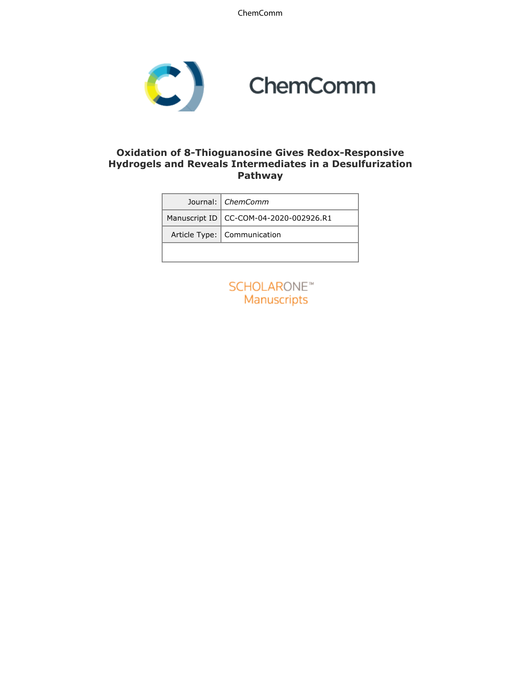ChemComm



### **Oxidation of 8-Thioguanosine Gives Redox-Responsive Hydrogels and Reveals Intermediates in a Desulfurization Pathway**

|  | Journal:   ChemComm                      |
|--|------------------------------------------|
|  | Manuscript ID   CC-COM-04-2020-002926.R1 |
|  | Article Type:   Communication            |
|  |                                          |

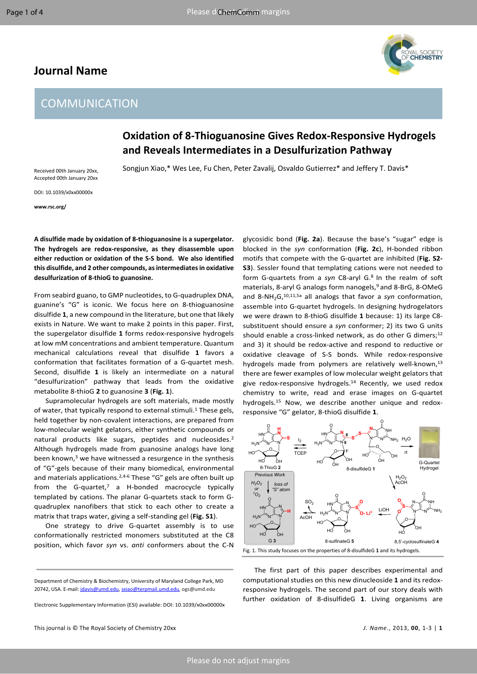## **Journal Name**



# **COMMUNICATION**

# **Oxidation of 8-Thioguanosine Gives Redox-Responsive Hydrogels and Reveals Intermediates in a Desulfurization Pathway**

Songjun Xiao,\* Wes Lee, Fu Chen, Peter Zavalij, Osvaldo Gutierrez\* and Jeffery T. Davis\*

Received 00th January 20xx, Accepted 00th January 20xx DOI: 10.1039/x0xx00000x

**www.rsc.org/**

**A disulfide made by oxidation of 8-thioguanosine is a supergelator. The hydrogels are redox-responsive, as they disassemble upon either reduction or oxidation of the S-S bond. We also identified this disulfide, and 2 other compounds, as intermediates in oxidative desulfurization of 8-thioG to guanosine.** 

From seabird guano, to GMP nucleotides, to G-quadruplex DNA, guanine's "G" is iconic. We focus here on 8-thioguanosine disulfide **1**, a new compound in the literature, but one that likely exists in Nature. We want to make 2 points in this paper. First, the supergelator disulfide **1** forms redox-responsive hydrogels at low mM concentrations and ambient temperature. Quantum mechanical calculations reveal that disulfide **1** favors a conformation that facilitates formation of a G-quartet mesh. Second, disulfide **1** is likely an intermediate on a natural "desulfurization" pathway that leads from the oxidative metabolite 8-thioG **2** to guanosine **3** (**Fig. 1**).

Supramolecular hydrogels are soft materials, made mostly of water, that typically respond to external stimuli.<sup>1</sup> These gels, held together by non-covalent interactions, are prepared from low-molecular weight gelators, either synthetic compounds or natural products like sugars, peptides and nucleosides.<sup>2</sup> Although hydrogels made from guanosine analogs have long been known, $3$  we have witnessed a resurgence in the synthesis of "G"-gels because of their many biomedical, environmental and materials applications.<sup>2,4-6</sup> These "G" gels are often built up from the G-quartet,<sup>7</sup> a H-bonded macrocycle typically templated by cations. The planar G-quartets stack to form Gquadruplex nanofibers that stick to each other to create a matrix that traps water, giving a self-standing gel (**Fig. S1**).

One strategy to drive G-quartet assembly is to use conformationally restricted monomers substituted at the C8 position, which favor *syn* vs. *anti* conformers about the C-N

Electronic Supplementary Information (ESI) available: DOI: 10.1039/x0xx00000x

glycosidic bond (**Fig. 2a**). Because the base's "sugar" edge is blocked in the *syn* conformation (**Fig. 2c**), H-bonded ribbon motifs that compete with the G-quartet are inhibited (**Fig. S2- S3**). Sessler found that templating cations were not needed to form G-quartets from a syn C8-aryl G.<sup>8</sup> In the realm of soft materials, 8-aryl G analogs form nanogels,<sup>9</sup> and 8-BrG, 8-OMeG and 8-NH2G,10,11,5a all analogs that favor a *syn* conformation, assemble into G-quartet hydrogels. In designing hydrogelators we were drawn to 8-thioG disulfide **1** because: 1) its large C8 substituent should ensure a *syn* conformer; 2) its two G units should enable a cross-linked network, as do other G dimers;<sup>12</sup> and 3) it should be redox-active and respond to reductive or oxidative cleavage of S-S bonds. While redox-responsive hydrogels made from polymers are relatively well-known,<sup>13</sup> there are fewer examples of low molecular weight gelators that give redox-responsive hydrogels.<sup>14</sup> Recently, we used redox chemistry to write, read and erase images on G-quartet hydrogels.<sup>15</sup> Now, we describe another unique and redoxresponsive "G" gelator, 8-thioG disulfide **1**.



The first part of this paper describes experimental and computational studies on this new dinucleoside **1** and its redoxresponsive hydrogels. The second part of our story deals with further oxidation of 8-disulfideG **1**. Living organisms are

Department of Chemistry & Biochemistry, University of Maryland College Park, MD 20742, USA. E-mail: [jdavis@umd.edu](mailto:jdavis@umd.edu), [sxiao@terpmail.umd.edu,](mailto:sxiao@terpmail.umd.edu) ogs@umd.edu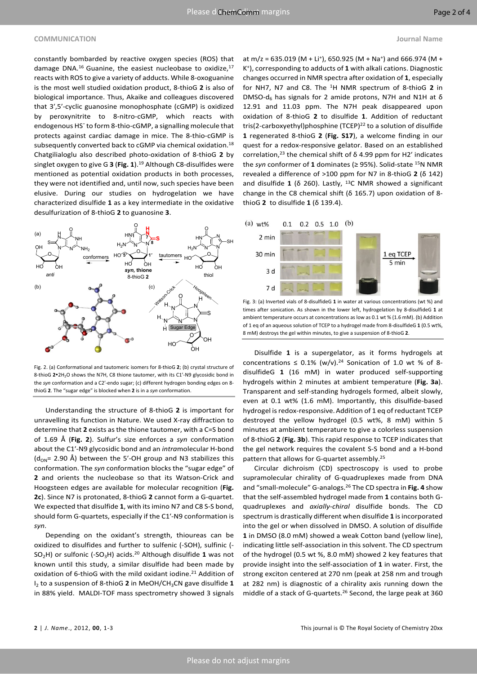#### **COMMUNICATION Journal Name**

constantly bombarded by reactive oxygen species (ROS) that damage DNA.<sup>16</sup> Guanine, the easiest nucleobase to oxidize,<sup>17</sup> reacts with ROS to give a variety of adducts. While 8-oxoguanine is the most well studied oxidation product, 8-thioG **2** is also of biological importance. Thus, Akaike and colleagues discovered that 3ʹ,5ʹ-cyclic guanosine monophosphate (cGMP) is oxidized by peroxynitrite to 8-nitro-cGMP, which reacts with endogenous HS<sup>-</sup> to form 8-thio-cGMP, a signalling molecule that protects against cardiac damage in mice. The 8-thio-cGMP is subsequently converted back to cGMP via chemical oxidation.<sup>18</sup> Chatgilialoglu also described photo-oxidation of 8-thioG **2** by singlet oxygen to give G **3** (**Fig. 1**).<sup>19</sup> Although C8-disulfides were mentioned as potential oxidation products in both processes, they were not identified and, until now, such species have been elusive. During our studies on hydrogelation we have characterized disulfide **1** as a key intermediate in the oxidative desulfurization of 8-thioG **2** to guanosine **3**.



Fig. 2. (a) Conformational and tautomeric isomers for 8-thioG **2**; (b) crystal structure of 8-thioG 2<sup>o</sup>2H<sub>2</sub>O shows the N7H, C8 thione tautomer, with its C1'-N9 glycosidic bond in the *syn* conformation and a C2ʹ-endo sugar; (c) different hydrogen bonding edges on 8 thioG **2**. The "sugar edge" is blocked when **2** is in a *syn* conformation.

Understanding the structure of 8-thioG **2** is important for unravelling its function in Nature. We used X-ray diffraction to determine that 2 exists as the thione tautomer, with a C=S bond of 1.69 Å (**Fig. 2**). Sulfur's size enforces a *syn* conformation about the C1ʹ-N9 glycosidic bond and an *intra*molecular H-bond  $(d_{ON}= 2.90 \text{ Å})$  between the 5'-OH group and N3 stabilizes this conformation. The *syn* conformation blocks the "sugar edge" of **2** and orients the nucleobase so that its Watson-Crick and Hoogsteen edges are available for molecular recognition (**Fig. 2c**). Since N7 is protonated, 8-thioG **2** cannot form a G-quartet. We expected that disulfide **1**, with itsimino N7 and C8 S-S bond, should form G-quartets, especially if the C1ʹ-N9 conformation is *syn*.

Depending on the oxidant's strength, thioureas can be oxidized to disulfides and further to sulfenic (-SOH), sulfinic (- SO2H) or sulfonic (-SO3H) acids.<sup>20</sup> Although disulfide **1** was not known until this study, a similar disulfide had been made by oxidation of 6-thioG with the mild oxidant iodine.<sup>21</sup> Addition of I<sup>2</sup> to a suspension of 8-thioG **2** in MeOH/CH3CN gave disulfide **1** in 88% yield. MALDI-TOF mass spectrometry showed 3 signals

at m/z = 635.019 (M + Li<sup>+</sup>), 650.925 (M + Na<sup>+</sup>) and 666.974 (M + K + ), corresponding to adducts of **1** with alkali cations. Diagnostic changes occurred in NMR spectra after oxidation of **1**, especially for NH7, N7 and C8. The <sup>1</sup>H NMR spectrum of 8-thioG **2** in DMSO-d<sup>6</sup> has signals for 2 amide protons, N7H and N1H at δ 12.91 and 11.03 ppm. The N7H peak disappeared upon oxidation of 8-thioG **2** to disulfide **1**. Addition of reductant tris(2-carboxyethyl)phosphine (TCEP)<sup>22</sup> to a solution of disulfide **1** regenerated 8-thioG **2** (**Fig. S17**), a welcome finding in our quest for a redox-responsive gelator. Based on an established correlation,<sup>23</sup> the chemical shift of  $\delta$  4.99 ppm for H2<sup>'</sup> indicates the *syn* conformer of **1** dominates (≥ 95%). Solid-state <sup>15</sup>N NMR revealed a difference of >100 ppm for N7 in 8-thioG **2** (δ 142) and disulfide **1** (δ 260). Lastly, <sup>13</sup>C NMR showed a significant change in the C8 chemical shift (δ 165.7) upon oxidation of 8-



thioG **2** to disulfide **1** (δ 139.4).

Fig. 3: (a) Inverted vials of 8-disulfideG **1** in water at various concentrations (wt %) and M The times after sonication. As shown in the lower left, hydrogelation by 8-disulfideG **1** at  $H_{\text{max}}$   $\leftarrow$  M<sup>-1</sup> ambient temperature occurs at concentrations as low as 0.1 wt % (1.6 mM). (b) Addition N<sup>N</sup>N N<br>In Rugar Edge N, North of an aqueous solution of TCEP to a hydrogel made from 8-disulfideG 1 (0.5 wt%, North of teq of an aqueous solution of TCEP to a hydrogel made from 8-disulfideG 1 (0.5 wt%, 8 mM) destroys the gel within minutes, to give a suspension of 8-thioG **2**. O

Disulfide **1** is a supergelator, as it forms hydrogels at OH concentrations  $\leq$  0.1% (w/v).<sup>24</sup> Sonication of 1.0 wt % of 8disulfideG **1** (16 mM) in water produced self-supporting hydrogels within 2 minutes at ambient temperature (**Fig. 3a**). Transparent and self-standing hydrogels formed, albeit slowly, even at 0.1 wt% (1.6 mM). Importantly, this disulfide-based hydrogel is redox-responsive. Addition of 1 eq of reductant TCEP destroyed the yellow hydrogel (0.5 wt%, 8 mM) within 5 minutes at ambient temperature to give a colorless suspension of 8-thioG **2** (**Fig. 3b**). This rapid response to TCEP indicates that the gel network requires the covalent S-S bond and a H-bond pattern that allows for G-quartet assembly.<sup>25</sup>

> Circular dichroism (CD) spectroscopy is used to probe supramolecular chirality of G-quadruplexes made from DNA and "small-molecule" G-analogs.<sup>26</sup> The CD spectra in **Fig. 4** show that the self-assembled hydrogel made from **1** contains both Gquadruplexes and *axially-chiral* disulfide bonds. The CD spectrum is drastically different when disulfide **1** isincorporated into the gel or when dissolved in DMSO. A solution of disulfide **1** in DMSO (8.0 mM) showed a weak Cotton band (yellow line), indicating little self-association in this solvent. The CD spectrum of the hydrogel (0.5 wt %, 8.0 mM) showed 2 key features that provide insight into the self-association of **1** in water. First, the strong exciton centered at 270 nm (peak at 258 nm and trough at 282 nm) is diagnostic of a chirality axis running down the middle of a stack of G-quartets.<sup>26</sup> Second, the large peak at 360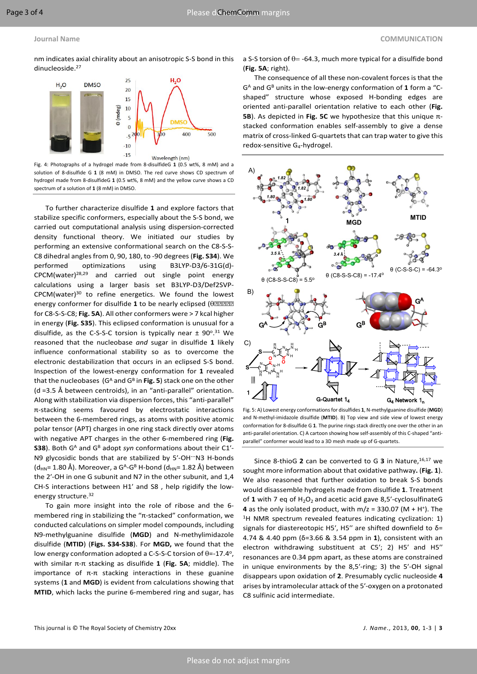nm indicates axial chirality about an anisotropic S-S bond in this dinucleoside.<sup>27</sup>



Fig. 4: Photographs of a hydrogel made from 8-disulfideG **1** (0.5 wt%, 8 mM) and a solution of 8-disulfide G **1** (8 mM) in DMSO. The red curve shows CD spectrum of hydrogel made from 8-disulfideG **1** (0.5 wt%, 8 mM) and the yellow curve shows a CD spectrum of a solution of **1** (8 mM) in DMSO.

To further characterize disulfide **1** and explore factors that stabilize specific conformers, especially about the S-S bond, we carried out computational analysis using dispersion-corrected density functional theory. We initiated our studies by performing an extensive conformational search on the C8-S-S-C8 dihedral anglesfrom 0, 90, 180, to -90 degrees(**Fig. S34**). We performed optimizations using B3LYP-D3/6-31G(d)- CPCM(water)28,29 and carried out single point energy calculations using a larger basis set B3LYP-D3/Def2SVP- $CPCM(water)^{30}$  to refine energetics. We found the lowest energy conformer for disulfide **1** to be nearly eclipsed ( for C8-S-S-C8; **Fig. 5A**). All other conformers were > 7 kcal higher in energy (**Fig. S35**). This eclipsed conformation is unusual for a disulfide, as the C-S-S-C torsion is typically near  $\pm$  90°.<sup>31</sup> We reasoned that the nucleobase *and* sugar in disulfide **1** likely influence conformational stability so as to overcome the electronic destabilization that occurs in an eclipsed S-S bond. Inspection of the lowest-energy conformation for **1** revealed that the nucleobases (G<sup>A</sup> and G<sup>B</sup> in Fig. 5) stack one on the other (d =3.5 Å between centroids), in an "anti-parallel" orientation. Along with stabilization via dispersion forces, this "anti-parallel" π-stacking seems favoured by electrostatic interactions between the 6-membered rings, as atoms with positive atomic polar tensor (APT) charges in one ring stack directly over atoms with negative APT charges in the other 6-membered ring (**Fig. S38**). Both G<sup>A</sup> and G<sup>B</sup> adopt *syn* conformations about their C1<sup>'</sup>-N9 glycosidic bonds that are stabilized by 5ʹ-OH…N3 H-bonds (d<sub>HN</sub>= 1.80 Å). Moreover, a G<sup>A</sup>-G<sup>B</sup> H-bond (d<sub>HN</sub>= 1.82 Å) between the 2ʹ-OH in one G subunit and N7 in the other subunit, and 1,4 CH-S interactions between H1ʹ and S8 , help rigidify the lowenergy structure.<sup>32</sup>

To gain more insight into the role of ribose and the 6 membered ring in stabilizing the "π-stacked" conformation, we conducted calculations on simpler model compounds, including N9-methylguanine disulfide (**MGD**) and N-methylimidazole disulfide (**MTID**) (**Figs. S34-S38**). For **MGD,** we found that the low energy conformation adopted a C-S-S-C torsion of  $\theta$ =-17.4°, with similar π-π stacking as disulfide **1** (**Fig. 5A**; middle). The importance of  $π$ - $π$  stacking interactions in these guanine systems (**1** and **MGD**) is evident from calculations showing that **MTID**, which lacks the purine 6-membered ring and sugar, has

a S-S torsion of  $\theta$  = -64.3, much more typical for a disulfide bond (**Fig. 5A**; right).

The consequence of all these non-covalent forces is that the  $G<sup>A</sup>$  and  $G<sup>B</sup>$  units in the low-energy conformation of 1 form a "Cshaped" structure whose exposed H-bonding edges are oriented anti-parallel orientation relative to each other (**Fig. 5B**). As depicted in **Fig. 5C** we hypothesize that this unique πstacked conformation enables self-assembly to give a dense matrix of cross-linked G-quartets that can trap water to give this redox-sensitive G<sub>4</sub>-hydrogel.



Fig. 5: A) Lowest energy conformations for disulfides **1**, N-methylguanine disulfide (**MGD**) and N-methyl-imidazole disulfide (**MTID**). B) Top view and side view of lowest energy conformation for 8-disulfide G **1**. The purine rings stack directly one over the other in an anti-parallel orientation. C) A cartoon showing how self-assembly of this C-shaped "antiparallel" conformer would lead to a 3D mesh made up of G-quartets.

Since 8-thioG **2** can be converted to G **3** in Nature,16,17 we sought more information about that oxidative pathway**.** (**Fig. 1**). We also reasoned that further oxidation to break S-S bonds would disassemble hydrogels made from disulfide **1**. Treatment of 1 with 7 eq of  $H_2O_2$  and acetic acid gave 8,5'-cyclosulfinateG **4** as the only isolated product, with  $m/z = 330.07$  (M + H<sup>+</sup>). The <sup>1</sup>H NMR spectrum revealed features indicating cyclization: 1) signals for diastereotopic H5', H5" are shifted downfield to  $\delta$ = 4.74 & 4.40 ppm (δ=3.66 & 3.54 ppm in **1**), consistent with an electron withdrawing substituent at C5ʹ; 2) H5ʹ and H5ʹʹ resonances are 0.34 ppm apart, as these atoms are constrained in unique environments by the 8,5ʹ-ring; 3) the 5ʹ-OH signal disappears upon oxidation of **2**. Presumably cyclic nucleoside **4** arises by intramolecular attack of the 5ʹ-oxygen on a protonated C8 sulfinic acid intermediate.